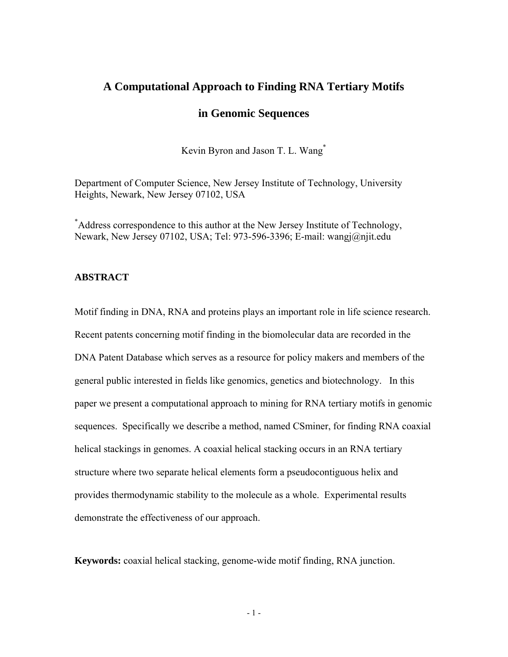# **A Computational Approach to Finding RNA Tertiary Motifs**

# **in Genomic Sequences**

Kevin Byron and Jason T. L. Wang\*

Department of Computer Science, New Jersey Institute of Technology, University Heights, Newark, New Jersey 07102, USA

\* Address correspondence to this author at the New Jersey Institute of Technology, Newark, New Jersey 07102, USA; Tel: 973-596-3396; E-mail: wangj@njit.edu

## **ABSTRACT**

Motif finding in DNA, RNA and proteins plays an important role in life science research. Recent patents concerning motif finding in the biomolecular data are recorded in the DNA Patent Database which serves as a resource for policy makers and members of the general public interested in fields like genomics, genetics and biotechnology. In this paper we present a computational approach to mining for RNA tertiary motifs in genomic sequences. Specifically we describe a method, named CSminer, for finding RNA coaxial helical stackings in genomes. A coaxial helical stacking occurs in an RNA tertiary structure where two separate helical elements form a pseudocontiguous helix and provides thermodynamic stability to the molecule as a whole. Experimental results demonstrate the effectiveness of our approach.

**Keywords:** coaxial helical stacking, genome-wide motif finding, RNA junction.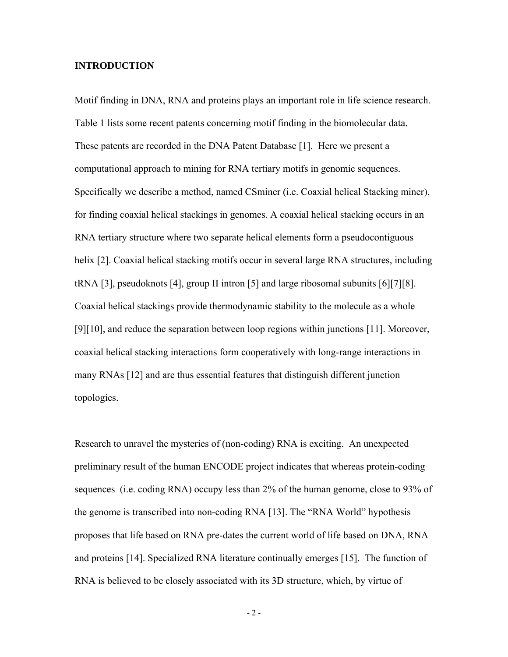## **INTRODUCTION**

Motif finding in DNA, RNA and proteins plays an important role in life science research. Table 1 lists some recent patents concerning motif finding in the biomolecular data. These patents are recorded in the DNA Patent Database [1]. Here we present a computational approach to mining for RNA tertiary motifs in genomic sequences. Specifically we describe a method, named CSminer (i.e. Coaxial helical Stacking miner), for finding coaxial helical stackings in genomes. A coaxial helical stacking occurs in an RNA tertiary structure where two separate helical elements form a pseudocontiguous helix [2]. Coaxial helical stacking motifs occur in several large RNA structures, including tRNA [3], pseudoknots [4], group II intron [5] and large ribosomal subunits [6][7][8]. Coaxial helical stackings provide thermodynamic stability to the molecule as a whole [9][10], and reduce the separation between loop regions within junctions [11]. Moreover, coaxial helical stacking interactions form cooperatively with long-range interactions in many RNAs [12] and are thus essential features that distinguish different junction topologies.

Research to unravel the mysteries of (non-coding) RNA is exciting. An unexpected preliminary result of the human ENCODE project indicates that whereas protein-coding sequences (i.e. coding RNA) occupy less than 2% of the human genome, close to 93% of the genome is transcribed into non-coding RNA [13]. The "RNA World" hypothesis proposes that life based on RNA pre-dates the current world of life based on DNA, RNA and proteins [14]. Specialized RNA literature continually emerges [15]. The function of RNA is believed to be closely associated with its 3D structure, which, by virtue of

 $-2$  -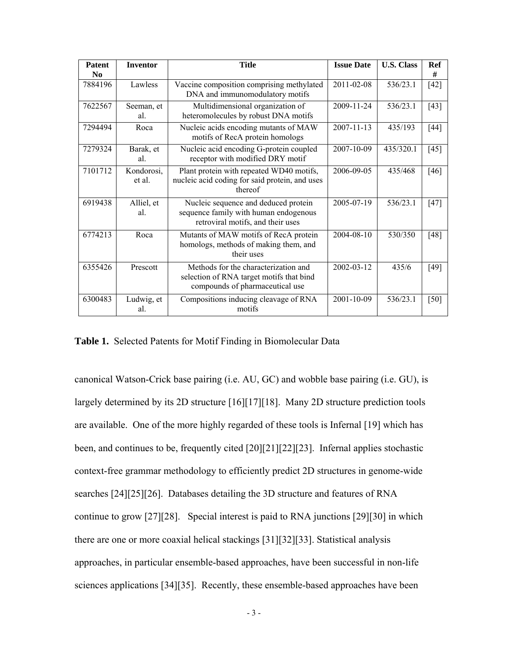| <b>Patent</b>  | <b>Inventor</b>      | <b>Title</b>                                                                                                        | <b>Issue Date</b> | <b>U.S. Class</b> | <b>Ref</b> |
|----------------|----------------------|---------------------------------------------------------------------------------------------------------------------|-------------------|-------------------|------------|
| N <sub>0</sub> |                      |                                                                                                                     |                   |                   | #          |
| 7884196        | Lawless              | Vaccine composition comprising methylated<br>DNA and immunomodulatory motifs                                        | 2011-02-08        | 536/23.1          | $[42]$     |
| 7622567        | Seeman, et<br>al.    | Multidimensional organization of<br>heteromolecules by robust DNA motifs                                            | 2009-11-24        | 536/23.1          | $[43]$     |
| 7294494        | Roca                 | Nucleic acids encoding mutants of MAW<br>motifs of RecA protein homologs                                            | $2007 - 11 - 13$  | 435/193           | $[44]$     |
| 7279324        | Barak, et<br>al.     | Nucleic acid encoding G-protein coupled<br>receptor with modified DRY motif                                         | 2007-10-09        | 435/320.1         | $[45]$     |
| 7101712        | Kondorosi,<br>et al. | Plant protein with repeated WD40 motifs,<br>nucleic acid coding for said protein, and uses<br>thereof               | 2006-09-05        | 435/468           | $[46]$     |
| 6919438        | Alliel, et<br>al.    | Nucleic sequence and deduced protein<br>sequence family with human endogenous<br>retroviral motifs, and their uses  | 2005-07-19        | 536/23.1          | [47]       |
| 6774213        | Roca                 | Mutants of MAW motifs of RecA protein<br>homologs, methods of making them, and<br>their uses                        | 2004-08-10        | 530/350           | [48]       |
| 6355426        | Prescott             | Methods for the characterization and<br>selection of RNA target motifs that bind<br>compounds of pharmaceutical use | 2002-03-12        | 435/6             | $[49]$     |
| 6300483        | Ludwig, et<br>al.    | Compositions inducing cleavage of RNA<br>motifs                                                                     | 2001-10-09        | 536/23.1          | [50]       |

**Table 1.** Selected Patents for Motif Finding in Biomolecular Data

canonical Watson-Crick base pairing (i.e. AU, GC) and wobble base pairing (i.e. GU), is largely determined by its 2D structure [16][17][18]. Many 2D structure prediction tools are available. One of the more highly regarded of these tools is Infernal [19] which has been, and continues to be, frequently cited [20][21][22][23]. Infernal applies stochastic context-free grammar methodology to efficiently predict 2D structures in genome-wide searches [24][25][26]. Databases detailing the 3D structure and features of RNA continue to grow [27][28]. Special interest is paid to RNA junctions [29][30] in which there are one or more coaxial helical stackings [31][32][33]. Statistical analysis approaches, in particular ensemble-based approaches, have been successful in non-life sciences applications [34][35]. Recently, these ensemble-based approaches have been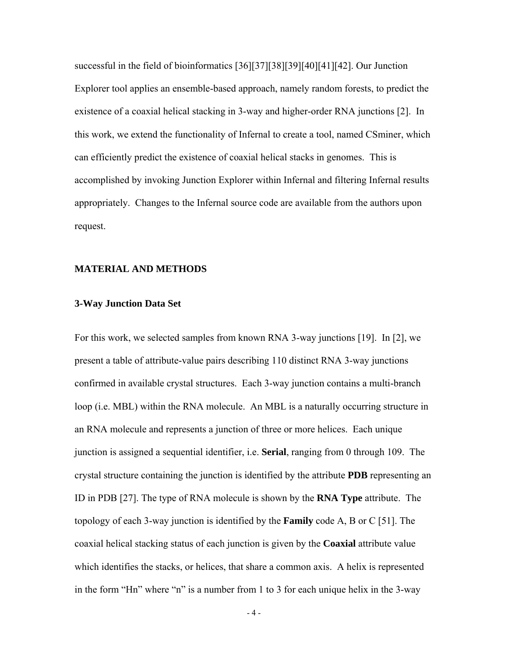successful in the field of bioinformatics [36][37][38][39][40][41][42]. Our Junction Explorer tool applies an ensemble-based approach, namely random forests, to predict the existence of a coaxial helical stacking in 3-way and higher-order RNA junctions [2]. In this work, we extend the functionality of Infernal to create a tool, named CSminer, which can efficiently predict the existence of coaxial helical stacks in genomes. This is accomplished by invoking Junction Explorer within Infernal and filtering Infernal results appropriately. Changes to the Infernal source code are available from the authors upon request.

### **MATERIAL AND METHODS**

### **3-Way Junction Data Set**

For this work, we selected samples from known RNA 3-way junctions [19]. In [2], we present a table of attribute-value pairs describing 110 distinct RNA 3-way junctions confirmed in available crystal structures. Each 3-way junction contains a multi-branch loop (i.e. MBL) within the RNA molecule. An MBL is a naturally occurring structure in an RNA molecule and represents a junction of three or more helices. Each unique junction is assigned a sequential identifier, i.e. **Serial**, ranging from 0 through 109. The crystal structure containing the junction is identified by the attribute **PDB** representing an ID in PDB [27]. The type of RNA molecule is shown by the **RNA Type** attribute. The topology of each 3-way junction is identified by the **Family** code A, B or C [51]. The coaxial helical stacking status of each junction is given by the **Coaxial** attribute value which identifies the stacks, or helices, that share a common axis. A helix is represented in the form "Hn" where "n" is a number from 1 to 3 for each unique helix in the 3-way

 $-4-$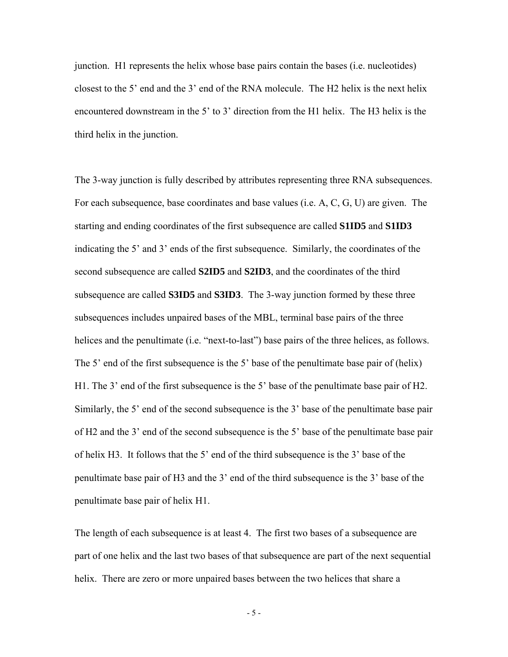junction. H1 represents the helix whose base pairs contain the bases (i.e. nucleotides) closest to the 5' end and the 3' end of the RNA molecule. The H2 helix is the next helix encountered downstream in the 5' to 3' direction from the H1 helix. The H3 helix is the third helix in the junction.

The 3-way junction is fully described by attributes representing three RNA subsequences. For each subsequence, base coordinates and base values (i.e. A, C, G, U) are given. The starting and ending coordinates of the first subsequence are called **S1ID5** and **S1ID3** indicating the 5' and 3' ends of the first subsequence. Similarly, the coordinates of the second subsequence are called **S2ID5** and **S2ID3**, and the coordinates of the third subsequence are called **S3ID5** and **S3ID3**. The 3-way junction formed by these three subsequences includes unpaired bases of the MBL, terminal base pairs of the three helices and the penultimate (i.e. "next-to-last") base pairs of the three helices, as follows. The 5' end of the first subsequence is the 5' base of the penultimate base pair of (helix) H1. The 3' end of the first subsequence is the 5' base of the penultimate base pair of H2. Similarly, the 5' end of the second subsequence is the 3' base of the penultimate base pair of H2 and the 3' end of the second subsequence is the 5' base of the penultimate base pair of helix H3. It follows that the 5' end of the third subsequence is the 3' base of the penultimate base pair of H3 and the 3' end of the third subsequence is the 3' base of the penultimate base pair of helix H1.

The length of each subsequence is at least 4. The first two bases of a subsequence are part of one helix and the last two bases of that subsequence are part of the next sequential helix. There are zero or more unpaired bases between the two helices that share a

 $-5 -$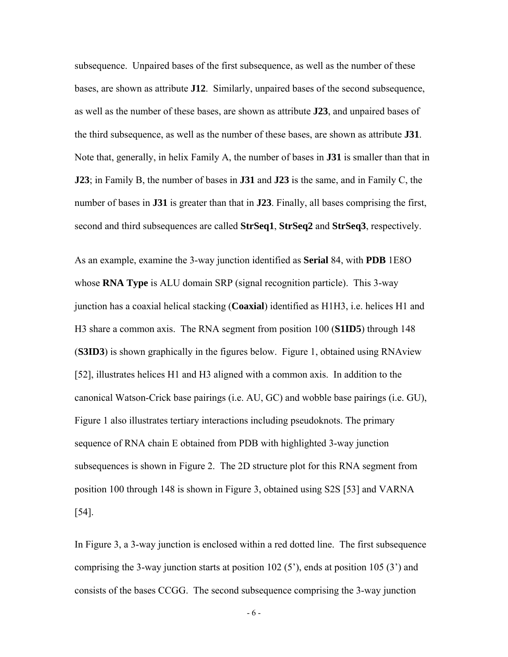subsequence. Unpaired bases of the first subsequence, as well as the number of these bases, are shown as attribute **J12**. Similarly, unpaired bases of the second subsequence, as well as the number of these bases, are shown as attribute **J23**, and unpaired bases of the third subsequence, as well as the number of these bases, are shown as attribute **J31**. Note that, generally, in helix Family A, the number of bases in **J31** is smaller than that in **J23**; in Family B, the number of bases in **J31** and **J23** is the same, and in Family C, the number of bases in **J31** is greater than that in **J23**. Finally, all bases comprising the first, second and third subsequences are called **StrSeq1**, **StrSeq2** and **StrSeq3**, respectively.

As an example, examine the 3-way junction identified as **Serial** 84, with **PDB** 1E8O whose **RNA Type** is ALU domain SRP (signal recognition particle). This 3-way junction has a coaxial helical stacking (**Coaxial**) identified as H1H3, i.e. helices H1 and H3 share a common axis. The RNA segment from position 100 (**S1ID5**) through 148 (**S3ID3**) is shown graphically in the figures below. Figure 1, obtained using RNAview [52], illustrates helices H1 and H3 aligned with a common axis. In addition to the canonical Watson-Crick base pairings (i.e. AU, GC) and wobble base pairings (i.e. GU), Figure 1 also illustrates tertiary interactions including pseudoknots. The primary sequence of RNA chain E obtained from PDB with highlighted 3-way junction subsequences is shown in Figure 2. The 2D structure plot for this RNA segment from position 100 through 148 is shown in Figure 3, obtained using S2S [53] and VARNA [54].

In Figure 3, a 3-way junction is enclosed within a red dotted line. The first subsequence comprising the 3-way junction starts at position  $102(5)$ , ends at position  $105(3)$  and consists of the bases CCGG. The second subsequence comprising the 3-way junction

- 6 -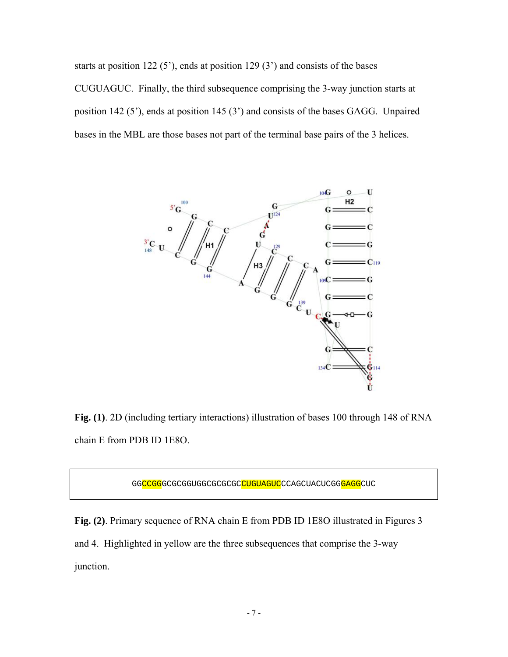starts at position 122 (5'), ends at position 129 (3') and consists of the bases CUGUAGUC. Finally, the third subsequence comprising the 3-way junction starts at position 142 (5'), ends at position 145 (3') and consists of the bases GAGG. Unpaired bases in the MBL are those bases not part of the terminal base pairs of the 3 helices.



**Fig. (1)**. 2D (including tertiary interactions) illustration of bases 100 through 148 of RNA chain E from PDB ID 1E8O.

GGCCGGGCGCGGUGGCGCGCCCUGUAGUCCCAGCUACUCGGGAGGCUC

**Fig. (2)**. Primary sequence of RNA chain E from PDB ID 1E8O illustrated in Figures 3 and 4. Highlighted in yellow are the three subsequences that comprise the 3-way junction.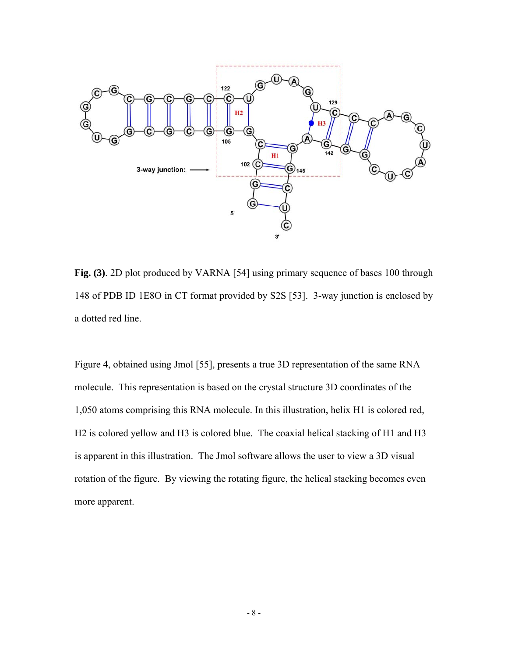

**Fig. (3)**. 2D plot produced by VARNA [54] using primary sequence of bases 100 through 148 of PDB ID 1E8O in CT format provided by S2S [53]. 3-way junction is enclosed by a dotted red line.

Figure 4, obtained using Jmol [55], presents a true 3D representation of the same RNA molecule. This representation is based on the crystal structure 3D coordinates of the 1,050 atoms comprising this RNA molecule. In this illustration, helix H1 is colored red, H2 is colored yellow and H3 is colored blue. The coaxial helical stacking of H1 and H3 is apparent in this illustration. The Jmol software allows the user to view a 3D visual rotation of the figure. By viewing the rotating figure, the helical stacking becomes even more apparent.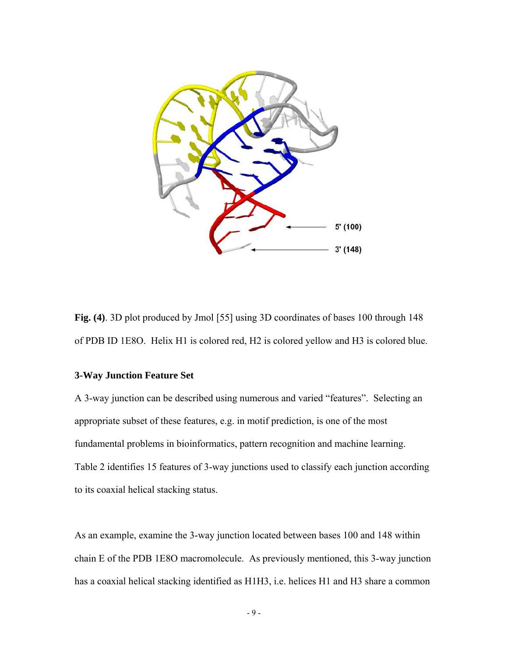

**Fig. (4)**. 3D plot produced by Jmol [55] using 3D coordinates of bases 100 through 148 of PDB ID 1E8O. Helix H1 is colored red, H2 is colored yellow and H3 is colored blue.

# **3-Way Junction Feature Set**

A 3-way junction can be described using numerous and varied "features". Selecting an appropriate subset of these features, e.g. in motif prediction, is one of the most fundamental problems in bioinformatics, pattern recognition and machine learning. Table 2 identifies 15 features of 3-way junctions used to classify each junction according to its coaxial helical stacking status.

As an example, examine the 3-way junction located between bases 100 and 148 within chain E of the PDB 1E8O macromolecule. As previously mentioned, this 3-way junction has a coaxial helical stacking identified as H1H3, i.e. helices H1 and H3 share a common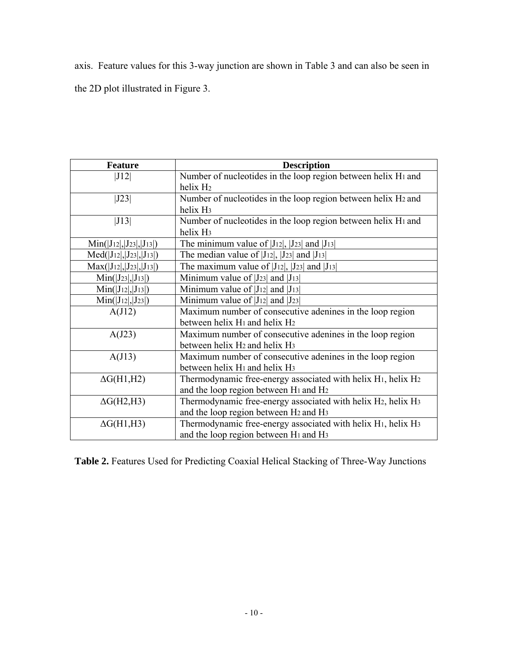axis. Feature values for this 3-way junction are shown in Table 3 and can also be seen in

the 2D plot illustrated in Figure 3.

| <b>Feature</b>                      | <b>Description</b>                                                                                                                                     |  |
|-------------------------------------|--------------------------------------------------------------------------------------------------------------------------------------------------------|--|
| J12                                 | Number of nucleotides in the loop region between helix H <sub>1</sub> and<br>helix H <sub>2</sub>                                                      |  |
| J23                                 | Number of nucleotides in the loop region between helix H2 and<br>helix H <sub>3</sub>                                                                  |  |
| J13                                 | Number of nucleotides in the loop region between helix H <sub>1</sub> and<br>helix H <sub>3</sub>                                                      |  |
| $Min([J_{12}], [J_{23}], [J_{13}])$ | The minimum value of $ J_{12} $ , $ J_{23} $ and $ J_{13} $                                                                                            |  |
| $Med( J_{12} ,  J_{23} ,  J_{13} )$ | The median value of $ J_{12} $ , $ J_{23} $ and $ J_{13} $                                                                                             |  |
| $Max( J_{12} ,  J_{23} ,  J_{13} )$ | The maximum value of $ J_{12} $ , $ J_{23} $ and $ J_{13} $                                                                                            |  |
| $Min(I_{23} ,  J_{13} )$            | Minimum value of $ J_{23} $ and $ J_{13} $                                                                                                             |  |
| $Min( J_{12} ,  J_{13} )$           | Minimum value of $ J_{12} $ and $ J_{13} $                                                                                                             |  |
| $Min( J_{12} ,  J_{23} )$           | Minimum value of $ J_{12} $ and $ J_{23} $                                                                                                             |  |
| A(J12)                              | Maximum number of consecutive adenines in the loop region<br>between helix H <sub>1</sub> and helix H <sub>2</sub>                                     |  |
| A(J23)                              | Maximum number of consecutive adenines in the loop region<br>between helix H <sub>2</sub> and helix H <sub>3</sub>                                     |  |
| A(J13)                              | Maximum number of consecutive adenines in the loop region<br>between helix H <sub>1</sub> and helix H <sub>3</sub>                                     |  |
| $\Delta G(H1,H2)$                   | Thermodynamic free-energy associated with helix H <sub>1</sub> , helix H <sub>2</sub><br>and the loop region between H <sub>1</sub> and H <sub>2</sub> |  |
| $\Delta G(H2,H3)$                   | Thermodynamic free-energy associated with helix H2, helix H3<br>and the loop region between H <sub>2</sub> and H <sub>3</sub>                          |  |
| $\Delta G(H1,H3)$                   | Thermodynamic free-energy associated with helix H <sub>1</sub> , helix H <sub>3</sub><br>and the loop region between H <sub>1</sub> and H <sub>3</sub> |  |

**Table 2.** Features Used for Predicting Coaxial Helical Stacking of Three-Way Junctions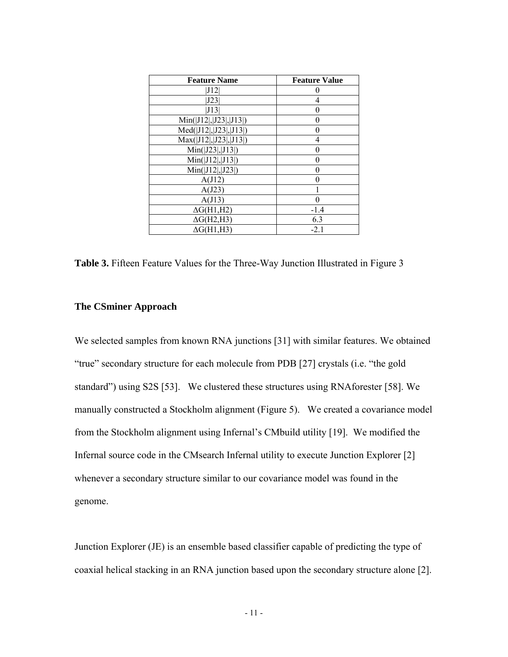| <b>Feature Name</b>      | <b>Feature Value</b> |
|--------------------------|----------------------|
| [J12                     |                      |
| J23                      | 4                    |
| J13                      | 0                    |
| Min( J12 ,  J23 ,  J13 ) | 0                    |
| Med( J12 , J23 , J13 )   | O                    |
| Max( J12 , J23 , J13 )   | 4                    |
| Min( J23 ,  J13 )        | 0                    |
| Min( J12 ,  J13 )        | 0                    |
| Min( J12 ,  J23 )        | 0                    |
| A(J12)                   | 0                    |
| A(J23)                   |                      |
| A(J13)                   | 0                    |
| $\Delta G(H1,H2)$        | $-1.4$               |
| $\Delta G(H2,H3)$        | 6.3                  |
| $\Delta G(H1,H3)$        | $-2.1$               |

**Table 3.** Fifteen Feature Values for the Three-Way Junction Illustrated in Figure 3

## **The CSminer Approach**

We selected samples from known RNA junctions [31] with similar features. We obtained "true" secondary structure for each molecule from PDB [27] crystals (i.e. "the gold standard") using S2S [53]. We clustered these structures using RNAforester [58]. We manually constructed a Stockholm alignment (Figure 5). We created a covariance model from the Stockholm alignment using Infernal's CMbuild utility [19]. We modified the Infernal source code in the CMsearch Infernal utility to execute Junction Explorer [2] whenever a secondary structure similar to our covariance model was found in the genome.

Junction Explorer (JE) is an ensemble based classifier capable of predicting the type of coaxial helical stacking in an RNA junction based upon the secondary structure alone [2].

 $-11$  -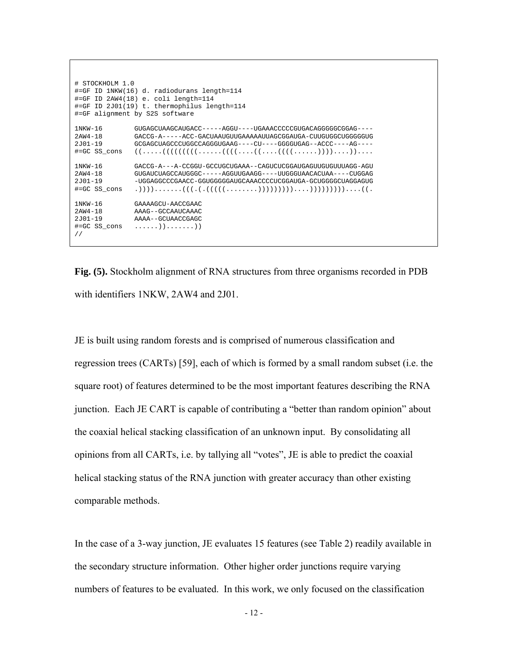```
# STOCKHOLM 1.0 
#=GF ID 1NKW(16) d. radiodurans length=114 
#=GF ID 2AW4(18) e. coli length=114 
#=GF ID 2J01(19) t. thermophilus length=114 
#=GF alignment by S2S software 
1NKW-16 GUGAGCUAAGCAUGACC-----AGGU----UGAAACCCCCGUGACAGGGGGCGGAG---- 
2AW4-18 GACCG-A-----ACC-GACUAAUGUUGAAAAAUUAGCGGAUGA-CUUGUGGCUGGGGGUG 
2J01-19 GCGAGCUAGCCCUGGCCAGGGUGAAG----CU----GGGGUGAG--ACCC----AG---- 
               #=GC SS_cons ((.....(((((((((......((((....((....((((......))))....)).... 
1NKW-16 GACCG-A---A-CCGGU-GCCUGCUGAAA--CAGUCUCGGAUGAGUUGUGUUUAGG-AGU 
2AW4-18 GUGAUCUAGCCAUGGGC-----AGGUUGAAGG----UUGGGUAACACUAA----CUGGAG 
2J01-19 -UGGAGGCCCGAACC-GGUGGGGGAUGCAAACCCCUCGGAUGA-GCUGGGGCUAGGAGUG 
               #=GC SS_cons .)))).......(((.(.(((((........)))))))))....)))))))))....((. 
1NKW-16 GAAAAGCU-AACCGAAC<br>2AW4-18 AAAG--GCCAAHCAAAC
2AW4-18 AAAG--GCCAAUCAAAC 
2J01-19 AAAA--GCUAACCGAGC<br>#=GC SS cons ......)).......)
               #=GC SS_cons ......)).......)) 
//
```
**Fig. (5).** Stockholm alignment of RNA structures from three organisms recorded in PDB with identifiers 1NKW, 2AW4 and 2J01.

JE is built using random forests and is comprised of numerous classification and regression trees (CARTs) [59], each of which is formed by a small random subset (i.e. the square root) of features determined to be the most important features describing the RNA junction. Each JE CART is capable of contributing a "better than random opinion" about the coaxial helical stacking classification of an unknown input. By consolidating all opinions from all CARTs, i.e. by tallying all "votes", JE is able to predict the coaxial helical stacking status of the RNA junction with greater accuracy than other existing comparable methods.

In the case of a 3-way junction, JE evaluates 15 features (see Table 2) readily available in the secondary structure information. Other higher order junctions require varying numbers of features to be evaluated. In this work, we only focused on the classification

 $-12$  -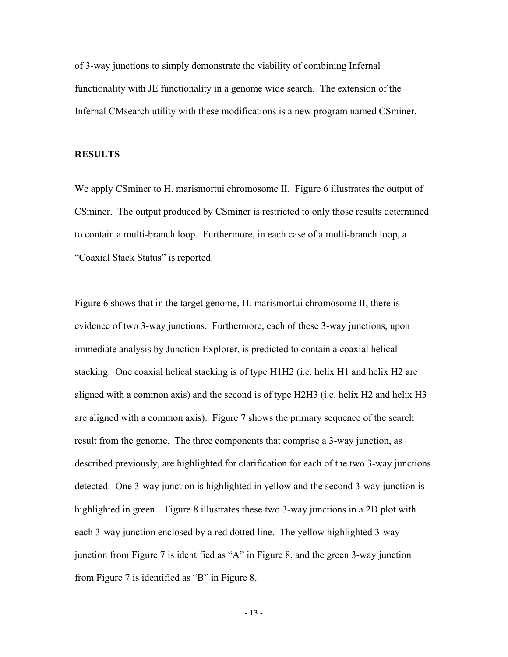of 3-way junctions to simply demonstrate the viability of combining Infernal functionality with JE functionality in a genome wide search. The extension of the Infernal CMsearch utility with these modifications is a new program named CSminer.

### **RESULTS**

We apply CSminer to H. marismortui chromosome II. Figure 6 illustrates the output of CSminer. The output produced by CSminer is restricted to only those results determined to contain a multi-branch loop. Furthermore, in each case of a multi-branch loop, a "Coaxial Stack Status" is reported.

Figure 6 shows that in the target genome, H. marismortui chromosome II, there is evidence of two 3-way junctions. Furthermore, each of these 3-way junctions, upon immediate analysis by Junction Explorer, is predicted to contain a coaxial helical stacking. One coaxial helical stacking is of type H1H2 (i.e. helix H1 and helix H2 are aligned with a common axis) and the second is of type H2H3 (i.e. helix H2 and helix H3 are aligned with a common axis). Figure 7 shows the primary sequence of the search result from the genome. The three components that comprise a 3-way junction, as described previously, are highlighted for clarification for each of the two 3-way junctions detected. One 3-way junction is highlighted in yellow and the second 3-way junction is highlighted in green. Figure 8 illustrates these two 3-way junctions in a 2D plot with each 3-way junction enclosed by a red dotted line. The yellow highlighted 3-way junction from Figure 7 is identified as "A" in Figure 8, and the green 3-way junction from Figure 7 is identified as "B" in Figure 8.

- 13 -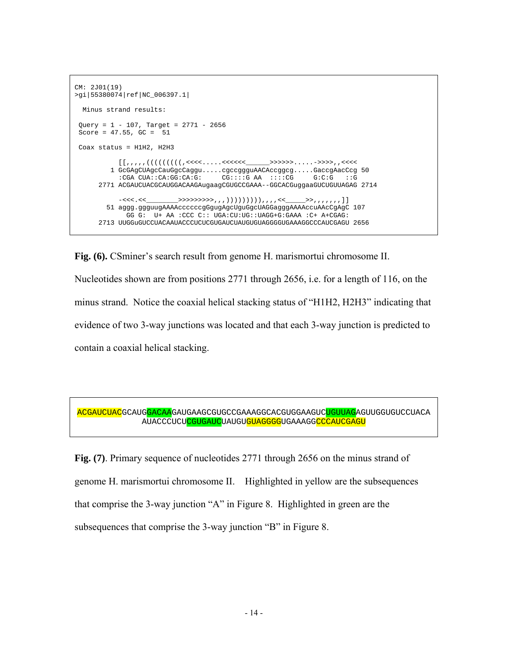```
CM: 2J01(19) 
>gi|55380074|ref|NC_006397.1| 
  Minus strand results: 
Query = 1 - 107, Target = 2771 - 2656
Score = 47.55, GC = 51 Coax status = H1H2, H2H3 
            [[,,,,,(((((((((,<<<<.....<<<<<<______>>>>>>.....->>>>,,<<<< 
          1 GcGAgCUAgcCauGgcCaggu.....cgccggguAACAccggcg.....GaccgAacCcg 50 
            :CGA CUA::CA:GG:CA:G: CG::::G AA ::::CG G:C:G ::G 
       2771 ACGAUCUACGCAUGGACAAGAugaagCGUGCCGAAA--GGCACGuggaaGUCUGUUAGAG 2714 
           -<<<<<u>________>>>>>>>>>>>>>>>,,,,)))))))))),,,,,<<____>>,,,,,,,,]]</u>
         51 aggg.ggguugAAAAccccccgGgugAgcUguGgcUAGGagggAAAAccuAAcCgAgC 107 
              GG G: U+ AA :CCC C:: UGA:CU:UG::UAGG+G:GAAA :C+ A+CGAG: 
       2713 UUGGuGUCCUACAAUACCCUCUCGUGAUCUAUGUGUAGGGGUGAAAGGCCCAUCGAGU 2656
```
**Fig. (6).** CSminer's search result from genome H. marismortui chromosome II. Nucleotides shown are from positions 2771 through 2656, i.e. for a length of 116, on the minus strand. Notice the coaxial helical stacking status of "H1H2, H2H3" indicating that evidence of two 3-way junctions was located and that each 3-way junction is predicted to contain a coaxial helical stacking.

ACGAUCUACGCAUGGACAAGAUGAAGCGUGCCGAAAGGCACGUGGAAGUCUGUUAGAGUUGGUGUCCUACA AUACCCUCUCGUGAUCUAUGUGUAGGGGUGAAAGGCCCAUCGAGU

**Fig. (7)**. Primary sequence of nucleotides 2771 through 2656 on the minus strand of genome H. marismortui chromosome II. Highlighted in yellow are the subsequences that comprise the 3-way junction "A" in Figure 8. Highlighted in green are the subsequences that comprise the 3-way junction "B" in Figure 8.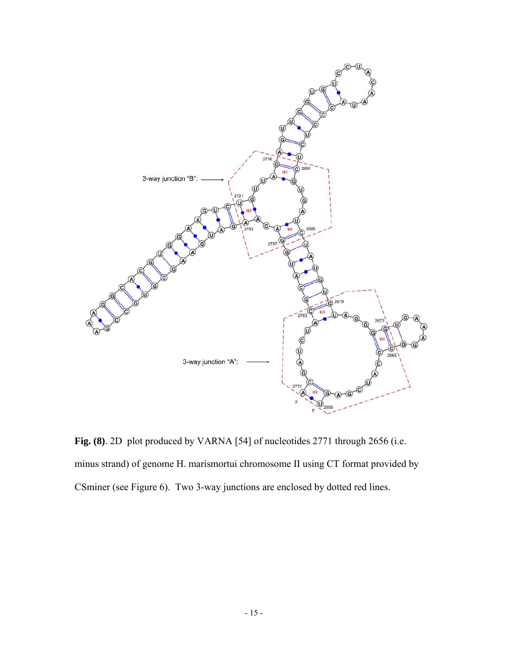

**Fig. (8)**. 2D plot produced by VARNA [54] of nucleotides 2771 through 2656 (i.e. minus strand) of genome H. marismortui chromosome II using CT format provided by CSminer (see Figure 6). Two 3-way junctions are enclosed by dotted red lines.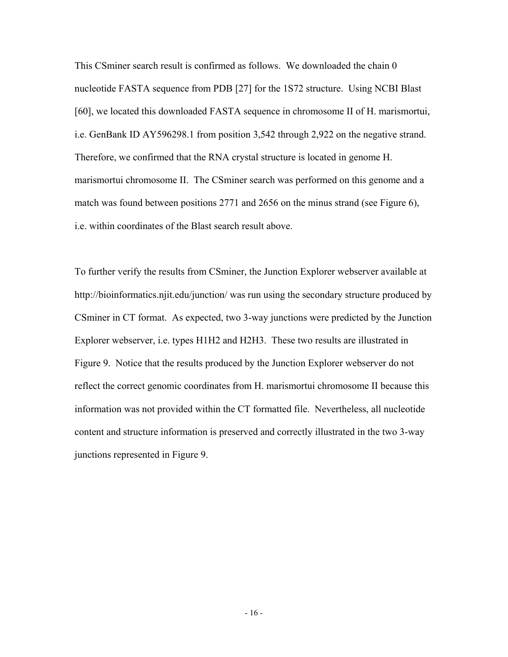This CSminer search result is confirmed as follows. We downloaded the chain 0 nucleotide FASTA sequence from PDB [27] for the 1S72 structure. Using NCBI Blast [60], we located this downloaded FASTA sequence in chromosome II of H. marismortui, i.e. GenBank ID AY596298.1 from position 3,542 through 2,922 on the negative strand. Therefore, we confirmed that the RNA crystal structure is located in genome H. marismortui chromosome II. The CSminer search was performed on this genome and a match was found between positions 2771 and 2656 on the minus strand (see Figure 6), i.e. within coordinates of the Blast search result above.

To further verify the results from CSminer, the Junction Explorer webserver available at http://bioinformatics.njit.edu/junction/ was run using the secondary structure produced by CSminer in CT format. As expected, two 3-way junctions were predicted by the Junction Explorer webserver, i.e. types H1H2 and H2H3. These two results are illustrated in Figure 9. Notice that the results produced by the Junction Explorer webserver do not reflect the correct genomic coordinates from H. marismortui chromosome II because this information was not provided within the CT formatted file. Nevertheless, all nucleotide content and structure information is preserved and correctly illustrated in the two 3-way junctions represented in Figure 9.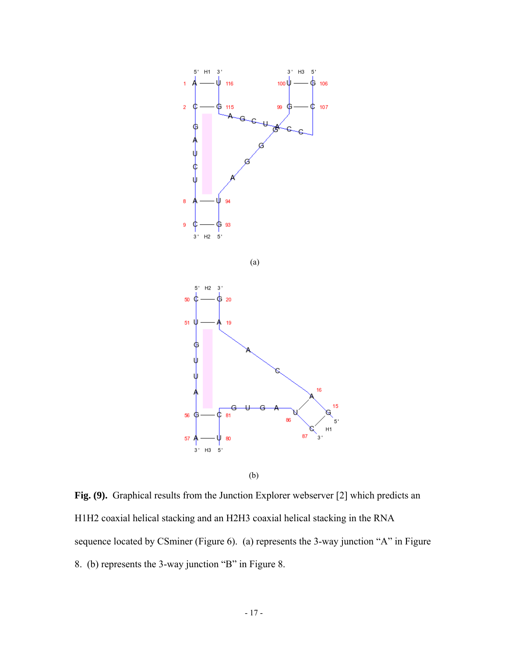

**Fig. (9).** Graphical results from the Junction Explorer webserver [2] which predicts an H1H2 coaxial helical stacking and an H2H3 coaxial helical stacking in the RNA sequence located by CSminer (Figure 6). (a) represents the 3-way junction "A" in Figure 8. (b) represents the 3-way junction "B" in Figure 8.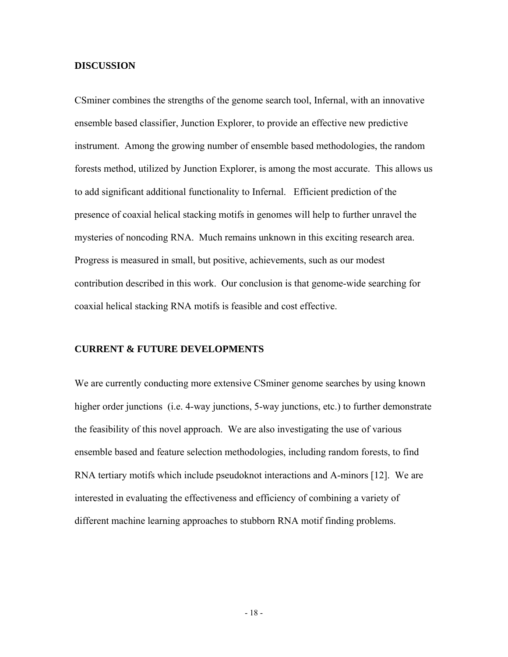## **DISCUSSION**

CSminer combines the strengths of the genome search tool, Infernal, with an innovative ensemble based classifier, Junction Explorer, to provide an effective new predictive instrument. Among the growing number of ensemble based methodologies, the random forests method, utilized by Junction Explorer, is among the most accurate. This allows us to add significant additional functionality to Infernal. Efficient prediction of the presence of coaxial helical stacking motifs in genomes will help to further unravel the mysteries of noncoding RNA. Much remains unknown in this exciting research area. Progress is measured in small, but positive, achievements, such as our modest contribution described in this work. Our conclusion is that genome-wide searching for coaxial helical stacking RNA motifs is feasible and cost effective.

### **CURRENT & FUTURE DEVELOPMENTS**

We are currently conducting more extensive CSminer genome searches by using known higher order junctions (i.e. 4-way junctions, 5-way junctions, etc.) to further demonstrate the feasibility of this novel approach. We are also investigating the use of various ensemble based and feature selection methodologies, including random forests, to find RNA tertiary motifs which include pseudoknot interactions and A-minors [12]. We are interested in evaluating the effectiveness and efficiency of combining a variety of different machine learning approaches to stubborn RNA motif finding problems.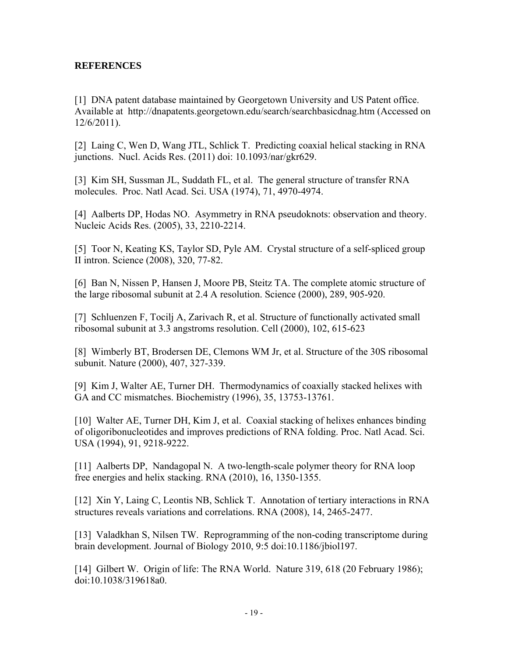# **REFERENCES**

[1] DNA patent database maintained by Georgetown University and US Patent office. Available at http://dnapatents.georgetown.edu/search/searchbasicdnag.htm (Accessed on 12/6/2011).

[2] Laing C, Wen D, Wang JTL, Schlick T. Predicting coaxial helical stacking in RNA junctions. Nucl. Acids Res. (2011) doi: 10.1093/nar/gkr629.

[3] Kim SH, Sussman JL, Suddath FL, et al. The general structure of transfer RNA molecules. Proc. Natl Acad. Sci. USA (1974), 71, 4970-4974.

[4] Aalberts DP, Hodas NO. Asymmetry in RNA pseudoknots: observation and theory. Nucleic Acids Res. (2005), 33, 2210-2214.

[5] Toor N, Keating KS, Taylor SD, Pyle AM. Crystal structure of a self-spliced group II intron. Science (2008), 320, 77-82.

[6] Ban N, Nissen P, Hansen J, Moore PB, Steitz TA. The complete atomic structure of the large ribosomal subunit at 2.4 A resolution. Science (2000), 289, 905-920.

[7] Schluenzen F, Tocilj A, Zarivach R, et al. Structure of functionally activated small ribosomal subunit at 3.3 angstroms resolution. Cell (2000), 102, 615-623

[8] Wimberly BT, Brodersen DE, Clemons WM Jr, et al. Structure of the 30S ribosomal subunit. Nature (2000), 407, 327-339.

[9] Kim J, Walter AE, Turner DH. Thermodynamics of coaxially stacked helixes with GA and CC mismatches. Biochemistry (1996), 35, 13753-13761.

[10] Walter AE, Turner DH, Kim J, et al. Coaxial stacking of helixes enhances binding of oligoribonucleotides and improves predictions of RNA folding. Proc. Natl Acad. Sci. USA (1994), 91, 9218-9222.

[11] Aalberts DP, Nandagopal N. A two-length-scale polymer theory for RNA loop free energies and helix stacking. RNA (2010), 16, 1350-1355.

[12] Xin Y, Laing C, Leontis NB, Schlick T. Annotation of tertiary interactions in RNA structures reveals variations and correlations. RNA (2008), 14, 2465-2477.

[13] Valadkhan S, Nilsen TW. Reprogramming of the non-coding transcriptome during brain development. Journal of Biology 2010, 9:5 doi:10.1186/jbiol197.

[14] Gilbert W. Origin of life: The RNA World. Nature 319, 618 (20 February 1986); doi:10.1038/319618a0.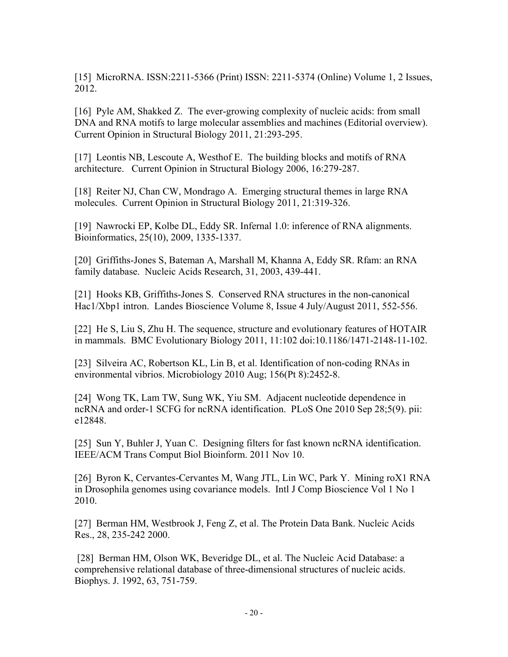[15] MicroRNA. ISSN:2211-5366 (Print) ISSN: 2211-5374 (Online) Volume 1, 2 Issues, 2012.

[16] Pyle AM, Shakked Z. The ever-growing complexity of nucleic acids: from small DNA and RNA motifs to large molecular assemblies and machines (Editorial overview). Current Opinion in Structural Biology 2011, 21:293-295.

[17] Leontis NB, Lescoute A, Westhof E. The building blocks and motifs of RNA architecture. Current Opinion in Structural Biology 2006, 16:279-287.

[18] Reiter NJ, Chan CW, Mondrago A. Emerging structural themes in large RNA molecules. Current Opinion in Structural Biology 2011, 21:319-326.

[19] Nawrocki EP, Kolbe DL, Eddy SR. Infernal 1.0: inference of RNA alignments. Bioinformatics, 25(10), 2009, 1335-1337.

[20] Griffiths-Jones S, Bateman A, Marshall M, Khanna A, Eddy SR. Rfam: an RNA family database. Nucleic Acids Research, 31, 2003, 439-441.

[21] Hooks KB, Griffiths-Jones S. Conserved RNA structures in the non-canonical Hac1/Xbp1 intron. Landes Bioscience Volume 8, Issue 4 July/August 2011, 552-556.

[22] He S, Liu S, Zhu H. The sequence, structure and evolutionary features of HOTAIR in mammals. BMC Evolutionary Biology 2011, 11:102 doi:10.1186/1471-2148-11-102.

[23] Silveira AC, Robertson KL, Lin B, et al. Identification of non-coding RNAs in environmental vibrios. Microbiology 2010 Aug; 156(Pt 8):2452-8.

[24] Wong TK, Lam TW, Sung WK, Yiu SM. Adjacent nucleotide dependence in ncRNA and order-1 SCFG for ncRNA identification. PLoS One 2010 Sep 28;5(9). pii: e12848.

[25] Sun Y, Buhler J, Yuan C. Designing filters for fast known ncRNA identification. IEEE/ACM Trans Comput Biol Bioinform. 2011 Nov 10.

[26] Byron K, Cervantes-Cervantes M, Wang JTL, Lin WC, Park Y. Mining roX1 RNA in Drosophila genomes using covariance models. Intl J Comp Bioscience Vol 1 No 1 2010.

[27] Berman HM, Westbrook J, Feng Z, et al. The Protein Data Bank. Nucleic Acids Res., 28, 235-242 2000.

 [28] Berman HM, Olson WK, Beveridge DL, et al. The Nucleic Acid Database: a comprehensive relational database of three-dimensional structures of nucleic acids. Biophys. J. 1992, 63, 751-759.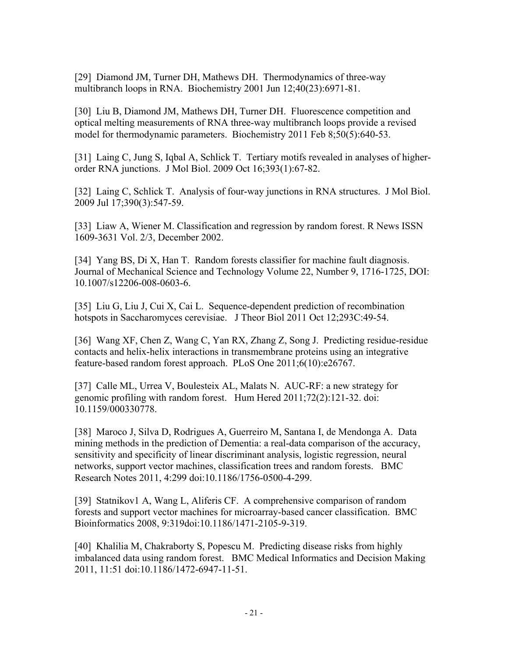[29] Diamond JM, Turner DH, Mathews DH. Thermodynamics of three-way multibranch loops in RNA. Biochemistry 2001 Jun 12;40(23):6971-81.

[30] Liu B, Diamond JM, Mathews DH, Turner DH. Fluorescence competition and optical melting measurements of RNA three-way multibranch loops provide a revised model for thermodynamic parameters. Biochemistry 2011 Feb 8;50(5):640-53.

[31] Laing C, Jung S, Iqbal A, Schlick T. Tertiary motifs revealed in analyses of higherorder RNA junctions. J Mol Biol. 2009 Oct 16;393(1):67-82.

[32] Laing C, Schlick T. Analysis of four-way junctions in RNA structures. J Mol Biol. 2009 Jul 17;390(3):547-59.

[33] Liaw A, Wiener M. Classification and regression by random forest. R News ISSN 1609-3631 Vol. 2/3, December 2002.

[34] Yang BS, Di X, Han T. Random forests classifier for machine fault diagnosis. Journal of Mechanical Science and Technology Volume 22, Number 9, 1716-1725, DOI: 10.1007/s12206-008-0603-6.

[35] Liu G, Liu J, Cui X, Cai L. Sequence-dependent prediction of recombination hotspots in Saccharomyces cerevisiae. J Theor Biol 2011 Oct 12;293C:49-54.

[36] Wang XF, Chen Z, Wang C, Yan RX, Zhang Z, Song J. Predicting residue-residue contacts and helix-helix interactions in transmembrane proteins using an integrative feature-based random forest approach. PLoS One 2011;6(10):e26767.

[37] Calle ML, Urrea V, Boulesteix AL, Malats N. AUC-RF: a new strategy for genomic profiling with random forest. Hum Hered 2011;72(2):121-32. doi: 10.1159/000330778.

[38] Maroco J, Silva D, Rodrigues A, Guerreiro M, Santana I, de Mendonga A. Data mining methods in the prediction of Dementia: a real-data comparison of the accuracy, sensitivity and specificity of linear discriminant analysis, logistic regression, neural networks, support vector machines, classification trees and random forests. BMC Research Notes 2011, 4:299 doi:10.1186/1756-0500-4-299.

[39] Statnikov1 A, Wang L, Aliferis CF. A comprehensive comparison of random forests and support vector machines for microarray-based cancer classification. BMC Bioinformatics 2008, 9:319doi:10.1186/1471-2105-9-319.

[40] Khalilia M, Chakraborty S, Popescu M. Predicting disease risks from highly imbalanced data using random forest. BMC Medical Informatics and Decision Making 2011, 11:51 doi:10.1186/1472-6947-11-51.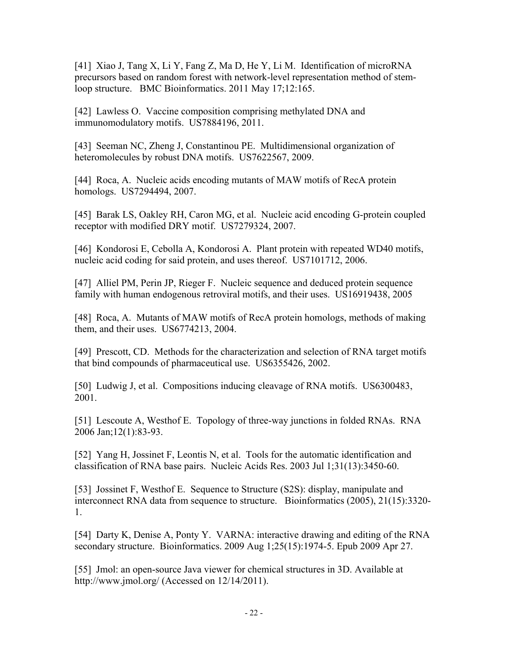[41] Xiao J, Tang X, Li Y, Fang Z, Ma D, He Y, Li M. Identification of microRNA precursors based on random forest with network-level representation method of stemloop structure. BMC Bioinformatics. 2011 May 17;12:165.

[42] Lawless O. Vaccine composition comprising methylated DNA and immunomodulatory motifs. US7884196, 2011.

[43] Seeman NC, Zheng J, Constantinou PE. Multidimensional organization of heteromolecules by robust DNA motifs. US7622567, 2009.

[44] Roca, A. Nucleic acids encoding mutants of MAW motifs of RecA protein homologs. US7294494, 2007.

[45] Barak LS, Oakley RH, Caron MG, et al. Nucleic acid encoding G-protein coupled receptor with modified DRY motif. US7279324, 2007.

[46] Kondorosi E, Cebolla A, Kondorosi A. Plant protein with repeated WD40 motifs, nucleic acid coding for said protein, and uses thereof. US7101712, 2006.

[47] Alliel PM, Perin JP, Rieger F. Nucleic sequence and deduced protein sequence family with human endogenous retroviral motifs, and their uses. US16919438, 2005

[48] Roca, A. Mutants of MAW motifs of RecA protein homologs, methods of making them, and their uses. US6774213, 2004.

[49] Prescott, CD. Methods for the characterization and selection of RNA target motifs that bind compounds of pharmaceutical use. US6355426, 2002.

[50] Ludwig J, et al. Compositions inducing cleavage of RNA motifs. US6300483, 2001.

[51] Lescoute A, Westhof E. Topology of three-way junctions in folded RNAs. RNA 2006 Jan;12(1):83-93.

[52] Yang H, Jossinet F, Leontis N, et al. Tools for the automatic identification and classification of RNA base pairs. Nucleic Acids Res. 2003 Jul 1;31(13):3450-60.

[53] Jossinet F, Westhof E. Sequence to Structure (S2S): display, manipulate and interconnect RNA data from sequence to structure. Bioinformatics (2005), 21(15):3320- 1.

[54] Darty K, Denise A, Ponty Y. VARNA: interactive drawing and editing of the RNA secondary structure. Bioinformatics. 2009 Aug 1;25(15):1974-5. Epub 2009 Apr 27.

[55] Jmol: an open-source Java viewer for chemical structures in 3D. Available at http://www.jmol.org/ (Accessed on 12/14/2011).